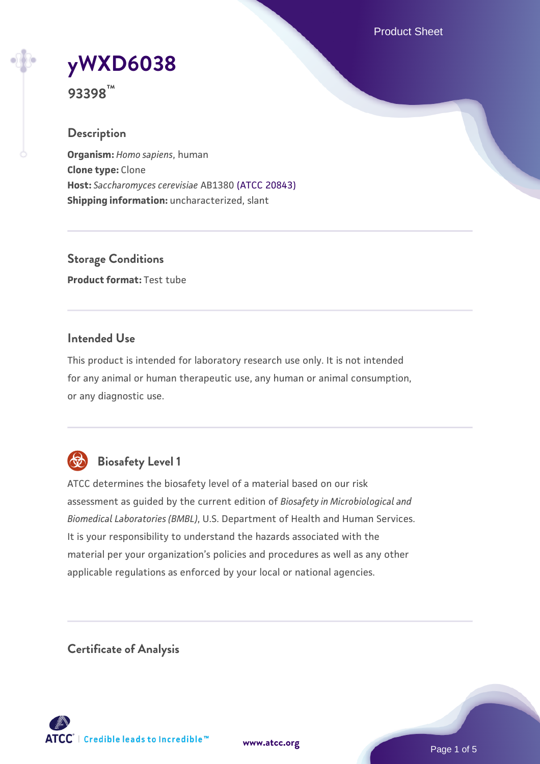Product Sheet

# **[yWXD6038](https://www.atcc.org/products/93398)**

**93398™**

## **Description**

**Organism:** *Homo sapiens*, human **Clone type:** Clone **Host:** *Saccharomyces cerevisiae* AB1380 [\(ATCC 20843\)](https://www.atcc.org/products/20843) **Shipping information:** uncharacterized, slant

**Storage Conditions Product format:** Test tube

## **Intended Use**

This product is intended for laboratory research use only. It is not intended for any animal or human therapeutic use, any human or animal consumption, or any diagnostic use.



## **Biosafety Level 1**

ATCC determines the biosafety level of a material based on our risk assessment as guided by the current edition of *Biosafety in Microbiological and Biomedical Laboratories (BMBL)*, U.S. Department of Health and Human Services. It is your responsibility to understand the hazards associated with the material per your organization's policies and procedures as well as any other applicable regulations as enforced by your local or national agencies.

**Certificate of Analysis**

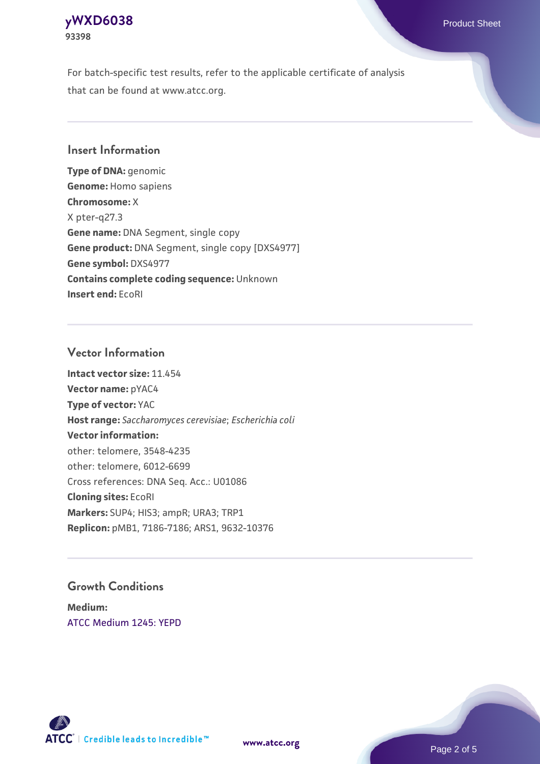## **[yWXD6038](https://www.atcc.org/products/93398)** Product Sheet **93398**

For batch-specific test results, refer to the applicable certificate of analysis that can be found at www.atcc.org.

## **Insert Information**

**Type of DNA:** genomic **Genome:** Homo sapiens **Chromosome:** X X pter-q27.3 **Gene name:** DNA Segment, single copy **Gene product:** DNA Segment, single copy [DXS4977] **Gene symbol:** DXS4977 **Contains complete coding sequence:** Unknown **Insert end:** EcoRI

## **Vector Information**

**Intact vector size:** 11.454 **Vector name:** pYAC4 **Type of vector:** YAC **Host range:** *Saccharomyces cerevisiae*; *Escherichia coli* **Vector information:** other: telomere, 3548-4235 other: telomere, 6012-6699 Cross references: DNA Seq. Acc.: U01086 **Cloning sites:** EcoRI **Markers:** SUP4; HIS3; ampR; URA3; TRP1 **Replicon:** pMB1, 7186-7186; ARS1, 9632-10376

## **Growth Conditions**

**Medium:**  [ATCC Medium 1245: YEPD](https://www.atcc.org/-/media/product-assets/documents/microbial-media-formulations/1/2/4/5/atcc-medium-1245.pdf?rev=705ca55d1b6f490a808a965d5c072196)



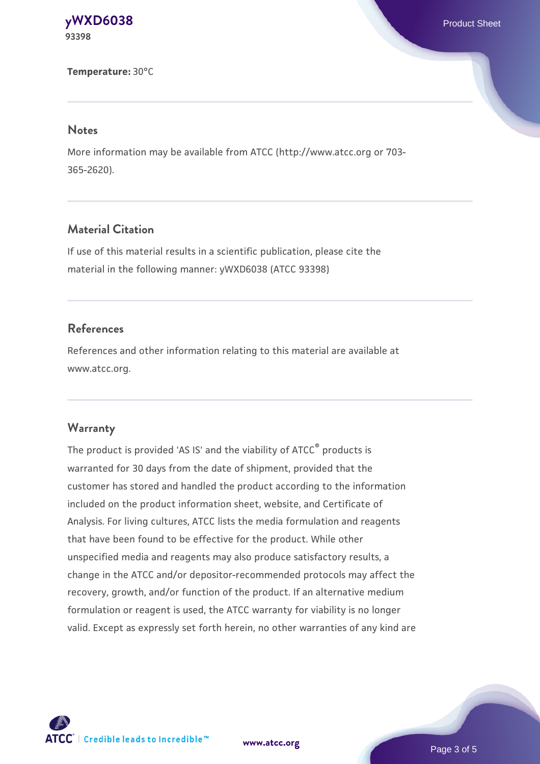**[yWXD6038](https://www.atcc.org/products/93398)** Product Sheet **93398**

**Temperature:** 30°C

#### **Notes**

More information may be available from ATCC (http://www.atcc.org or 703- 365-2620).

## **Material Citation**

If use of this material results in a scientific publication, please cite the material in the following manner: yWXD6038 (ATCC 93398)

## **References**

References and other information relating to this material are available at www.atcc.org.

#### **Warranty**

The product is provided 'AS IS' and the viability of ATCC® products is warranted for 30 days from the date of shipment, provided that the customer has stored and handled the product according to the information included on the product information sheet, website, and Certificate of Analysis. For living cultures, ATCC lists the media formulation and reagents that have been found to be effective for the product. While other unspecified media and reagents may also produce satisfactory results, a change in the ATCC and/or depositor-recommended protocols may affect the recovery, growth, and/or function of the product. If an alternative medium formulation or reagent is used, the ATCC warranty for viability is no longer valid. Except as expressly set forth herein, no other warranties of any kind are

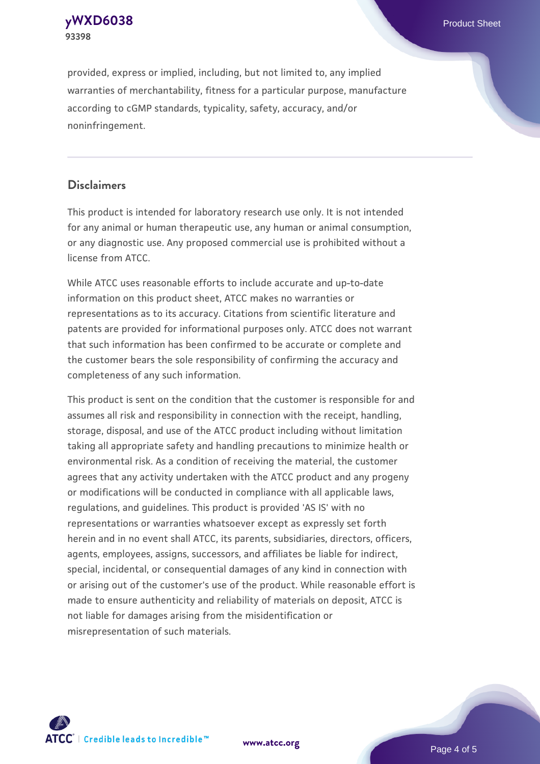

provided, express or implied, including, but not limited to, any implied warranties of merchantability, fitness for a particular purpose, manufacture according to cGMP standards, typicality, safety, accuracy, and/or noninfringement.

## **Disclaimers**

This product is intended for laboratory research use only. It is not intended for any animal or human therapeutic use, any human or animal consumption, or any diagnostic use. Any proposed commercial use is prohibited without a license from ATCC.

While ATCC uses reasonable efforts to include accurate and up-to-date information on this product sheet, ATCC makes no warranties or representations as to its accuracy. Citations from scientific literature and patents are provided for informational purposes only. ATCC does not warrant that such information has been confirmed to be accurate or complete and the customer bears the sole responsibility of confirming the accuracy and completeness of any such information.

This product is sent on the condition that the customer is responsible for and assumes all risk and responsibility in connection with the receipt, handling, storage, disposal, and use of the ATCC product including without limitation taking all appropriate safety and handling precautions to minimize health or environmental risk. As a condition of receiving the material, the customer agrees that any activity undertaken with the ATCC product and any progeny or modifications will be conducted in compliance with all applicable laws, regulations, and guidelines. This product is provided 'AS IS' with no representations or warranties whatsoever except as expressly set forth herein and in no event shall ATCC, its parents, subsidiaries, directors, officers, agents, employees, assigns, successors, and affiliates be liable for indirect, special, incidental, or consequential damages of any kind in connection with or arising out of the customer's use of the product. While reasonable effort is made to ensure authenticity and reliability of materials on deposit, ATCC is not liable for damages arising from the misidentification or misrepresentation of such materials.



**[www.atcc.org](http://www.atcc.org)**

Page 4 of 5